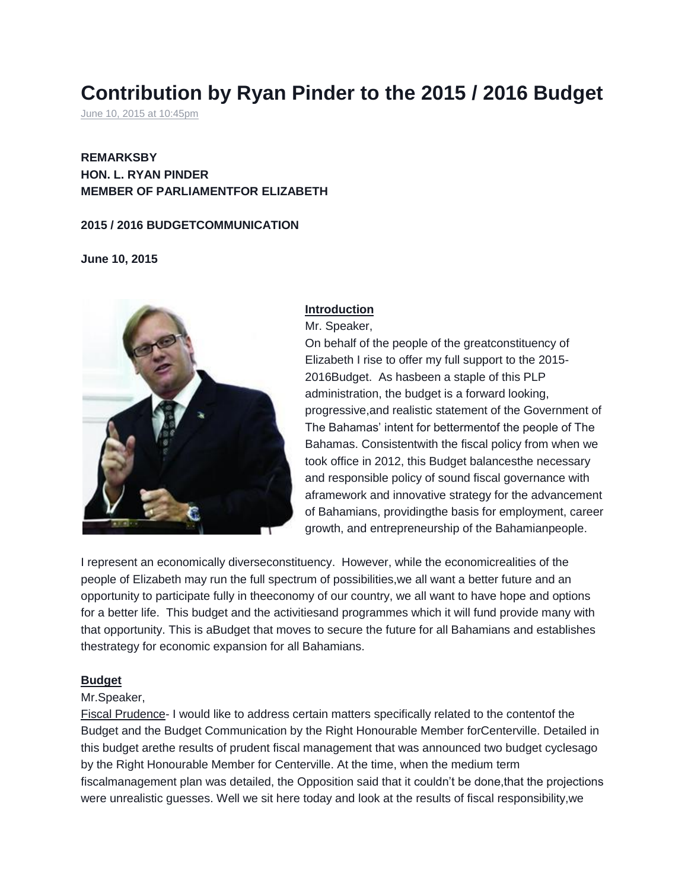# **Contribution by Ryan Pinder to the 2015 / 2016 Budget**

[June 10, 2015 at 10:45pm](https://www.facebook.com/notes/ryan-pinder-for-elizabeth-right-man-right-place-right-time/contribution-by-ryan-pinder-to-the-2015-2016-budget/10152945120568519)

# **REMARKSBY HON. L. RYAN PINDER MEMBER OF PARLIAMENTFOR ELIZABETH**

#### **2015 / 2016 BUDGETCOMMUNICATION**

**June 10, 2015**



## **Introduction**

Mr. Speaker,

On behalf of the people of the greatconstituency of Elizabeth I rise to offer my full support to the 2015- 2016Budget. As hasbeen a staple of this PLP administration, the budget is a forward looking, progressive,and realistic statement of the Government of The Bahamas' intent for bettermentof the people of The Bahamas. Consistentwith the fiscal policy from when we took office in 2012, this Budget balancesthe necessary and responsible policy of sound fiscal governance with aframework and innovative strategy for the advancement of Bahamians, providingthe basis for employment, career growth, and entrepreneurship of the Bahamianpeople.

I represent an economically diverseconstituency. However, while the economicrealities of the people of Elizabeth may run the full spectrum of possibilities,we all want a better future and an opportunity to participate fully in theeconomy of our country, we all want to have hope and options for a better life. This budget and the activitiesand programmes which it will fund provide many with that opportunity. This is aBudget that moves to secure the future for all Bahamians and establishes thestrategy for economic expansion for all Bahamians.

#### **Budget**

#### Mr.Speaker,

Fiscal Prudence- I would like to address certain matters specifically related to the contentof the Budget and the Budget Communication by the Right Honourable Member forCenterville. Detailed in this budget arethe results of prudent fiscal management that was announced two budget cyclesago by the Right Honourable Member for Centerville. At the time, when the medium term fiscalmanagement plan was detailed, the Opposition said that it couldn't be done,that the projections were unrealistic guesses. Well we sit here today and look at the results of fiscal responsibility,we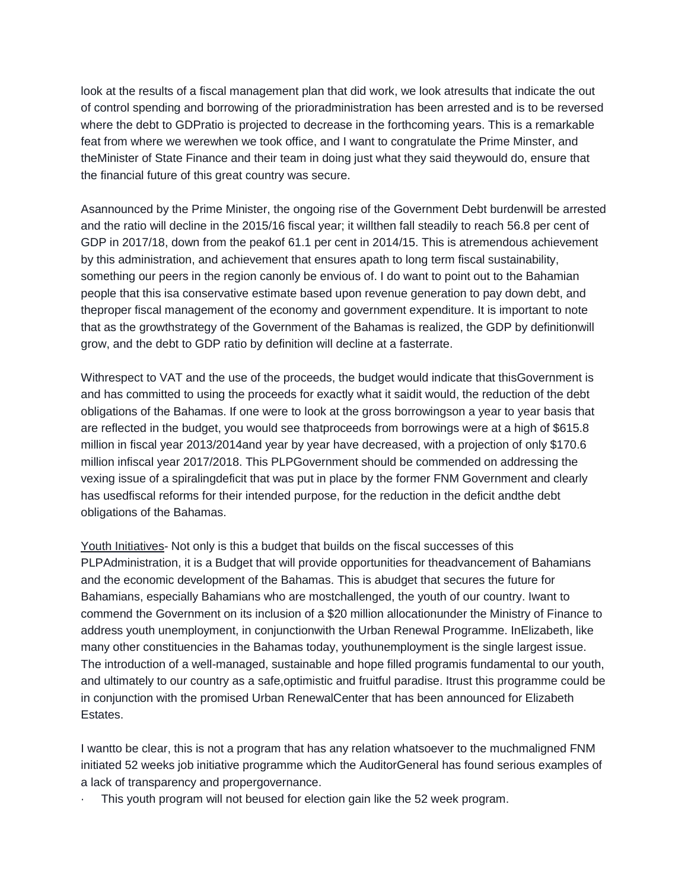look at the results of a fiscal management plan that did work, we look atresults that indicate the out of control spending and borrowing of the prioradministration has been arrested and is to be reversed where the debt to GDPratio is projected to decrease in the forthcoming years. This is a remarkable feat from where we werewhen we took office, and I want to congratulate the Prime Minster, and theMinister of State Finance and their team in doing just what they said theywould do, ensure that the financial future of this great country was secure.

Asannounced by the Prime Minister, the ongoing rise of the Government Debt burdenwill be arrested and the ratio will decline in the 2015/16 fiscal year; it willthen fall steadily to reach 56.8 per cent of GDP in 2017/18, down from the peakof 61.1 per cent in 2014/15. This is atremendous achievement by this administration, and achievement that ensures apath to long term fiscal sustainability, something our peers in the region canonly be envious of. I do want to point out to the Bahamian people that this isa conservative estimate based upon revenue generation to pay down debt, and theproper fiscal management of the economy and government expenditure. It is important to note that as the growthstrategy of the Government of the Bahamas is realized, the GDP by definitionwill grow, and the debt to GDP ratio by definition will decline at a fasterrate.

Withrespect to VAT and the use of the proceeds, the budget would indicate that thisGovernment is and has committed to using the proceeds for exactly what it saidit would, the reduction of the debt obligations of the Bahamas. If one were to look at the gross borrowingson a year to year basis that are reflected in the budget, you would see thatproceeds from borrowings were at a high of \$615.8 million in fiscal year 2013/2014and year by year have decreased, with a projection of only \$170.6 million infiscal year 2017/2018. This PLPGovernment should be commended on addressing the vexing issue of a spiralingdeficit that was put in place by the former FNM Government and clearly has usedfiscal reforms for their intended purpose, for the reduction in the deficit andthe debt obligations of the Bahamas.

Youth Initiatives- Not only is this a budget that builds on the fiscal successes of this PLPAdministration, it is a Budget that will provide opportunities for theadvancement of Bahamians and the economic development of the Bahamas. This is abudget that secures the future for Bahamians, especially Bahamians who are mostchallenged, the youth of our country. Iwant to commend the Government on its inclusion of a \$20 million allocationunder the Ministry of Finance to address youth unemployment, in conjunctionwith the Urban Renewal Programme. InElizabeth, like many other constituencies in the Bahamas today, youthunemployment is the single largest issue. The introduction of a well-managed, sustainable and hope filled programis fundamental to our youth, and ultimately to our country as a safe,optimistic and fruitful paradise. Itrust this programme could be in conjunction with the promised Urban RenewalCenter that has been announced for Elizabeth Estates.

I wantto be clear, this is not a program that has any relation whatsoever to the muchmaligned FNM initiated 52 weeks job initiative programme which the AuditorGeneral has found serious examples of a lack of transparency and propergovernance.

This youth program will not beused for election gain like the 52 week program.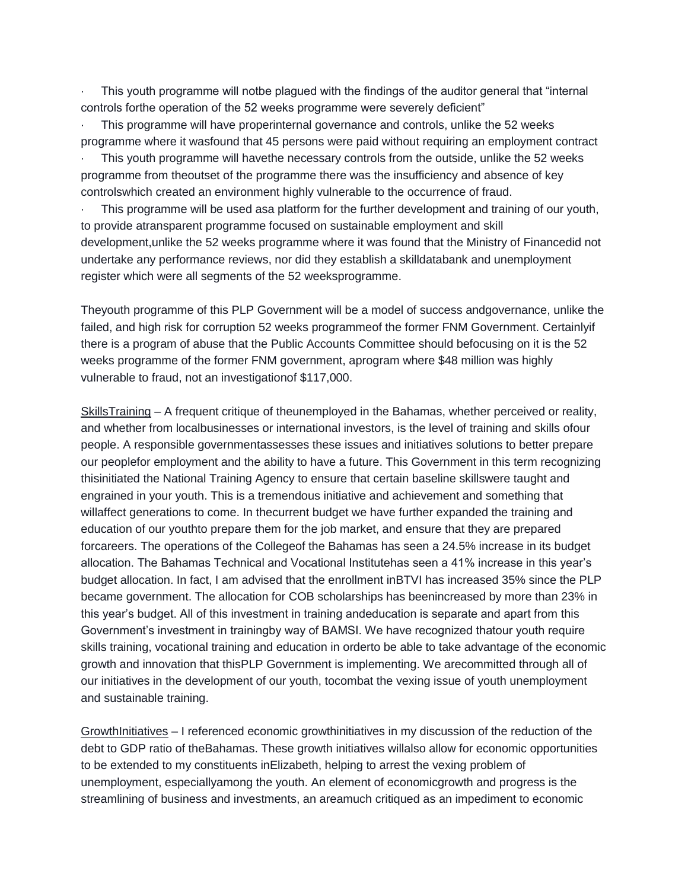· This youth programme will notbe plagued with the findings of the auditor general that "internal controls forthe operation of the 52 weeks programme were severely deficient"

This programme will have properinternal governance and controls, unlike the 52 weeks programme where it wasfound that 45 persons were paid without requiring an employment contract

This youth programme will havethe necessary controls from the outside, unlike the 52 weeks programme from theoutset of the programme there was the insufficiency and absence of key controlswhich created an environment highly vulnerable to the occurrence of fraud.

This programme will be used asa platform for the further development and training of our youth, to provide atransparent programme focused on sustainable employment and skill development,unlike the 52 weeks programme where it was found that the Ministry of Financedid not undertake any performance reviews, nor did they establish a skilldatabank and unemployment register which were all segments of the 52 weeksprogramme.

Theyouth programme of this PLP Government will be a model of success andgovernance, unlike the failed, and high risk for corruption 52 weeks programmeof the former FNM Government. Certainlyif there is a program of abuse that the Public Accounts Committee should befocusing on it is the 52 weeks programme of the former FNM government, aprogram where \$48 million was highly vulnerable to fraud, not an investigationof \$117,000.

SkillsTraining – A frequent critique of theunemployed in the Bahamas, whether perceived or reality, and whether from localbusinesses or international investors, is the level of training and skills ofour people. A responsible governmentassesses these issues and initiatives solutions to better prepare our peoplefor employment and the ability to have a future. This Government in this term recognizing thisinitiated the National Training Agency to ensure that certain baseline skillswere taught and engrained in your youth. This is a tremendous initiative and achievement and something that willaffect generations to come. In thecurrent budget we have further expanded the training and education of our youthto prepare them for the job market, and ensure that they are prepared forcareers. The operations of the Collegeof the Bahamas has seen a 24.5% increase in its budget allocation. The Bahamas Technical and Vocational Institutehas seen a 41% increase in this year's budget allocation. In fact, I am advised that the enrollment inBTVI has increased 35% since the PLP became government. The allocation for COB scholarships has beenincreased by more than 23% in this year's budget. All of this investment in training andeducation is separate and apart from this Government's investment in trainingby way of BAMSI. We have recognized thatour youth require skills training, vocational training and education in orderto be able to take advantage of the economic growth and innovation that thisPLP Government is implementing. We arecommitted through all of our initiatives in the development of our youth, tocombat the vexing issue of youth unemployment and sustainable training.

GrowthInitiatives – I referenced economic growthinitiatives in my discussion of the reduction of the debt to GDP ratio of theBahamas. These growth initiatives willalso allow for economic opportunities to be extended to my constituents inElizabeth, helping to arrest the vexing problem of unemployment, especiallyamong the youth. An element of economicgrowth and progress is the streamlining of business and investments, an areamuch critiqued as an impediment to economic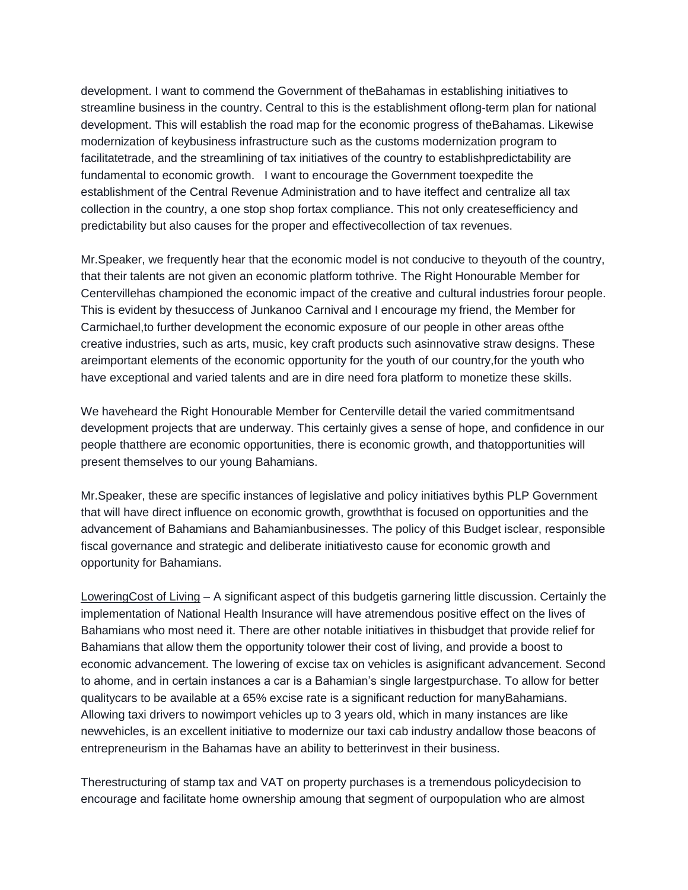development. I want to commend the Government of theBahamas in establishing initiatives to streamline business in the country. Central to this is the establishment oflong-term plan for national development. This will establish the road map for the economic progress of theBahamas. Likewise modernization of keybusiness infrastructure such as the customs modernization program to facilitatetrade, and the streamlining of tax initiatives of the country to establishpredictability are fundamental to economic growth. I want to encourage the Government toexpedite the establishment of the Central Revenue Administration and to have iteffect and centralize all tax collection in the country, a one stop shop fortax compliance. This not only createsefficiency and predictability but also causes for the proper and effectivecollection of tax revenues.

Mr.Speaker, we frequently hear that the economic model is not conducive to theyouth of the country, that their talents are not given an economic platform tothrive. The Right Honourable Member for Centervillehas championed the economic impact of the creative and cultural industries forour people. This is evident by thesuccess of Junkanoo Carnival and I encourage my friend, the Member for Carmichael,to further development the economic exposure of our people in other areas ofthe creative industries, such as arts, music, key craft products such asinnovative straw designs. These areimportant elements of the economic opportunity for the youth of our country,for the youth who have exceptional and varied talents and are in dire need fora platform to monetize these skills.

We haveheard the Right Honourable Member for Centerville detail the varied commitmentsand development projects that are underway. This certainly gives a sense of hope, and confidence in our people thatthere are economic opportunities, there is economic growth, and thatopportunities will present themselves to our young Bahamians.

Mr.Speaker, these are specific instances of legislative and policy initiatives bythis PLP Government that will have direct influence on economic growth, growththat is focused on opportunities and the advancement of Bahamians and Bahamianbusinesses. The policy of this Budget isclear, responsible fiscal governance and strategic and deliberate initiativesto cause for economic growth and opportunity for Bahamians.

LoweringCost of Living – A significant aspect of this budgetis garnering little discussion. Certainly the implementation of National Health Insurance will have atremendous positive effect on the lives of Bahamians who most need it. There are other notable initiatives in thisbudget that provide relief for Bahamians that allow them the opportunity tolower their cost of living, and provide a boost to economic advancement. The lowering of excise tax on vehicles is asignificant advancement. Second to ahome, and in certain instances a car is a Bahamian's single largestpurchase. To allow for better qualitycars to be available at a 65% excise rate is a significant reduction for manyBahamians. Allowing taxi drivers to nowimport vehicles up to 3 years old, which in many instances are like newvehicles, is an excellent initiative to modernize our taxi cab industry andallow those beacons of entrepreneurism in the Bahamas have an ability to betterinvest in their business.

Therestructuring of stamp tax and VAT on property purchases is a tremendous policydecision to encourage and facilitate home ownership amoung that segment of ourpopulation who are almost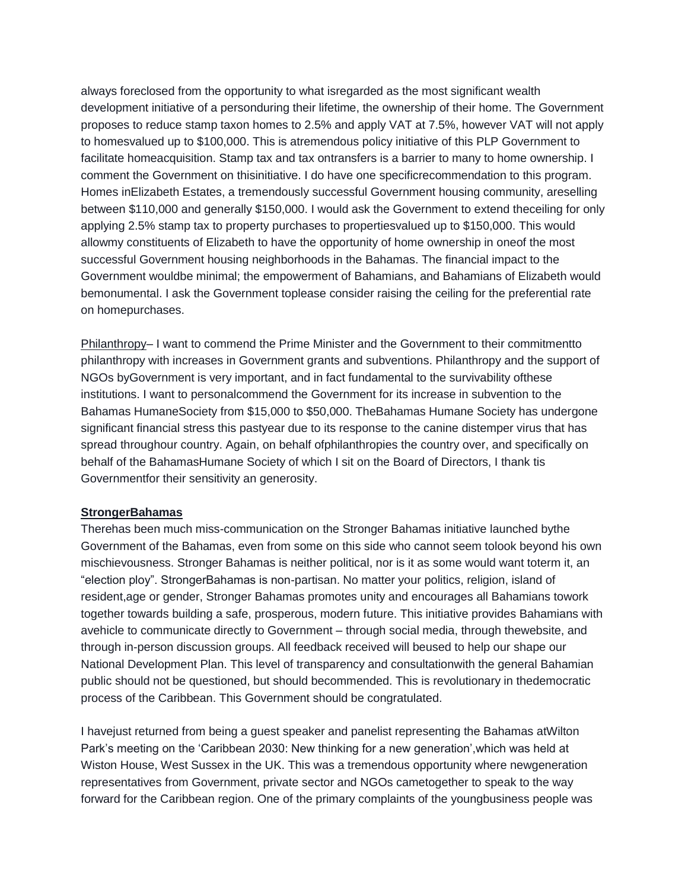always foreclosed from the opportunity to what isregarded as the most significant wealth development initiative of a personduring their lifetime, the ownership of their home. The Government proposes to reduce stamp taxon homes to 2.5% and apply VAT at 7.5%, however VAT will not apply to homesvalued up to \$100,000. This is atremendous policy initiative of this PLP Government to facilitate homeacquisition. Stamp tax and tax ontransfers is a barrier to many to home ownership. I comment the Government on thisinitiative. I do have one specificrecommendation to this program. Homes inElizabeth Estates, a tremendously successful Government housing community, areselling between \$110,000 and generally \$150,000. I would ask the Government to extend theceiling for only applying 2.5% stamp tax to property purchases to propertiesvalued up to \$150,000. This would allowmy constituents of Elizabeth to have the opportunity of home ownership in oneof the most successful Government housing neighborhoods in the Bahamas. The financial impact to the Government wouldbe minimal; the empowerment of Bahamians, and Bahamians of Elizabeth would bemonumental. I ask the Government toplease consider raising the ceiling for the preferential rate on homepurchases.

Philanthropy– I want to commend the Prime Minister and the Government to their commitmentto philanthropy with increases in Government grants and subventions. Philanthropy and the support of NGOs byGovernment is very important, and in fact fundamental to the survivability ofthese institutions. I want to personalcommend the Government for its increase in subvention to the Bahamas HumaneSociety from \$15,000 to \$50,000. TheBahamas Humane Society has undergone significant financial stress this pastyear due to its response to the canine distemper virus that has spread throughour country. Again, on behalf ofphilanthropies the country over, and specifically on behalf of the BahamasHumane Society of which I sit on the Board of Directors, I thank tis Governmentfor their sensitivity an generosity.

#### **StrongerBahamas**

Therehas been much miss-communication on the Stronger Bahamas initiative launched bythe Government of the Bahamas, even from some on this side who cannot seem tolook beyond his own mischievousness. Stronger Bahamas is neither political, nor is it as some would want toterm it, an "election ploy". StrongerBahamas is non-partisan. No matter your politics, religion, island of resident,age or gender, Stronger Bahamas promotes unity and encourages all Bahamians towork together towards building a safe, prosperous, modern future. This initiative provides Bahamians with avehicle to communicate directly to Government – through social media, through thewebsite, and through in-person discussion groups. All feedback received will beused to help our shape our National Development Plan. This level of transparency and consultationwith the general Bahamian public should not be questioned, but should becommended. This is revolutionary in thedemocratic process of the Caribbean. This Government should be congratulated.

I havejust returned from being a guest speaker and panelist representing the Bahamas atWilton Park's meeting on the 'Caribbean 2030: New thinking for a new generation',which was held at Wiston House, West Sussex in the UK. This was a tremendous opportunity where newgeneration representatives from Government, private sector and NGOs cametogether to speak to the way forward for the Caribbean region. One of the primary complaints of the youngbusiness people was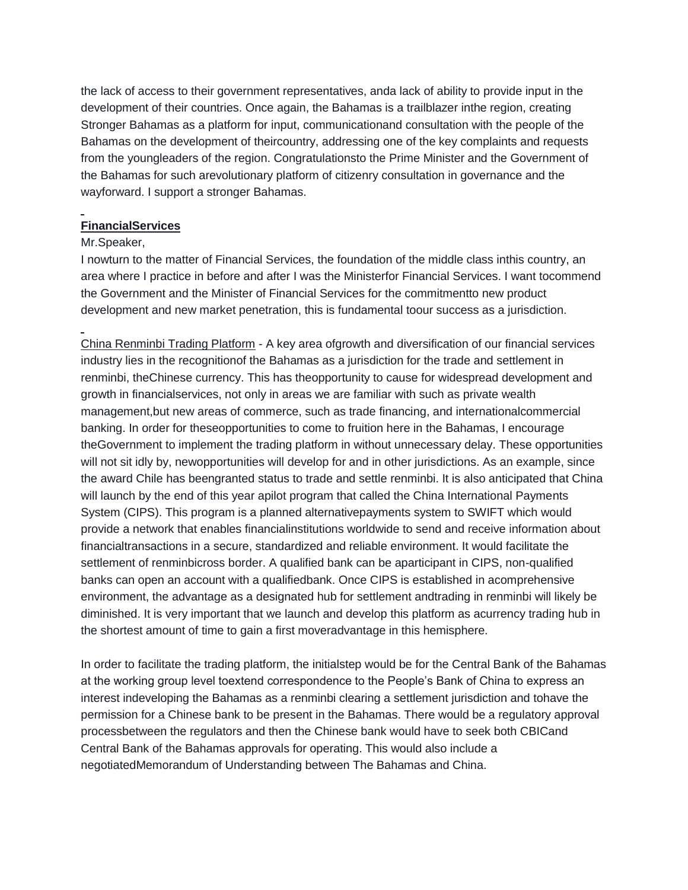the lack of access to their government representatives, anda lack of ability to provide input in the development of their countries. Once again, the Bahamas is a trailblazer inthe region, creating Stronger Bahamas as a platform for input, communicationand consultation with the people of the Bahamas on the development of theircountry, addressing one of the key complaints and requests from the youngleaders of the region. Congratulationsto the Prime Minister and the Government of the Bahamas for such arevolutionary platform of citizenry consultation in governance and the wayforward. I support a stronger Bahamas.

## **FinancialServices**

#### Mr.Speaker,

I nowturn to the matter of Financial Services, the foundation of the middle class inthis country, an area where I practice in before and after I was the Ministerfor Financial Services. I want tocommend the Government and the Minister of Financial Services for the commitmentto new product development and new market penetration, this is fundamental toour success as a jurisdiction.

China Renminbi Trading Platform - A key area ofgrowth and diversification of our financial services industry lies in the recognitionof the Bahamas as a jurisdiction for the trade and settlement in renminbi, theChinese currency. This has theopportunity to cause for widespread development and growth in financialservices, not only in areas we are familiar with such as private wealth management,but new areas of commerce, such as trade financing, and internationalcommercial banking. In order for theseopportunities to come to fruition here in the Bahamas, I encourage theGovernment to implement the trading platform in without unnecessary delay. These opportunities will not sit idly by, newopportunities will develop for and in other jurisdictions. As an example, since the award Chile has beengranted status to trade and settle renminbi. It is also anticipated that China will launch by the end of this year apilot program that called the China International Payments System (CIPS). This program is a planned alternativepayments system to SWIFT which would provide a network that enables financialinstitutions worldwide to send and receive information about financialtransactions in a secure, standardized and reliable environment. It would facilitate the settlement of renminbicross border. A qualified bank can be aparticipant in CIPS, non-qualified banks can open an account with a qualifiedbank. Once CIPS is established in acomprehensive environment, the advantage as a designated hub for settlement andtrading in renminbi will likely be diminished. It is very important that we launch and develop this platform as acurrency trading hub in the shortest amount of time to gain a first moveradvantage in this hemisphere.

In order to facilitate the trading platform, the initialstep would be for the Central Bank of the Bahamas at the working group level toextend correspondence to the People's Bank of China to express an interest indeveloping the Bahamas as a renminbi clearing a settlement jurisdiction and tohave the permission for a Chinese bank to be present in the Bahamas. There would be a regulatory approval processbetween the regulators and then the Chinese bank would have to seek both CBICand Central Bank of the Bahamas approvals for operating. This would also include a negotiatedMemorandum of Understanding between The Bahamas and China.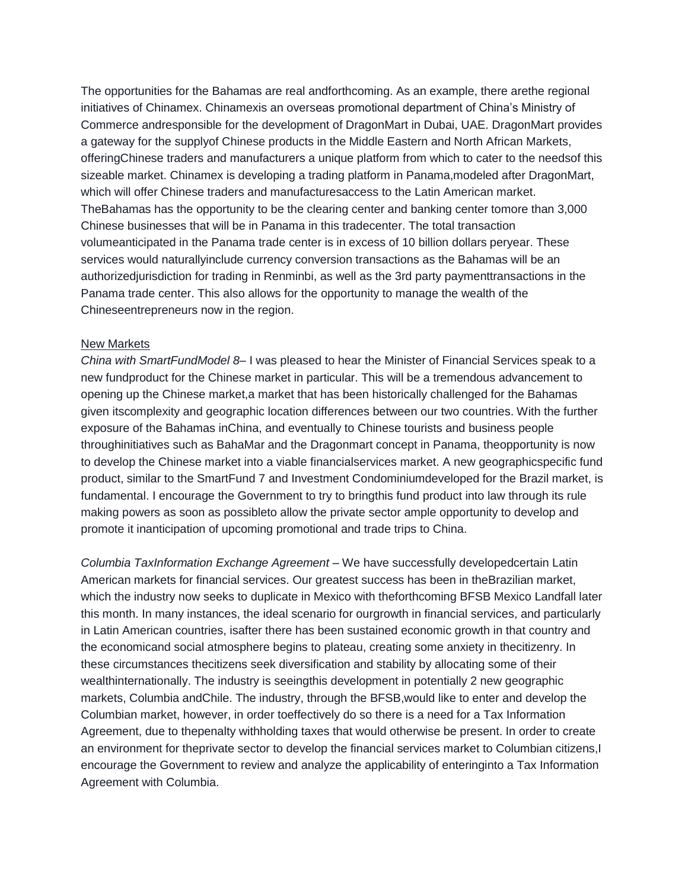The opportunities for the Bahamas are real andforthcoming. As an example, there arethe regional initiatives of Chinamex. Chinamexis an overseas promotional department of China's Ministry of Commerce andresponsible for the development of DragonMart in Dubai, UAE. DragonMart provides a gateway for the supplyof Chinese products in the Middle Eastern and North African Markets, offeringChinese traders and manufacturers a unique platform from which to cater to the needsof this sizeable market. Chinamex is developing a trading platform in Panama,modeled after DragonMart, which will offer Chinese traders and manufacturesaccess to the Latin American market. TheBahamas has the opportunity to be the clearing center and banking center tomore than 3,000 Chinese businesses that will be in Panama in this tradecenter. The total transaction volumeanticipated in the Panama trade center is in excess of 10 billion dollars peryear. These services would naturallyinclude currency conversion transactions as the Bahamas will be an authorizedjurisdiction for trading in Renminbi, as well as the 3rd party paymenttransactions in the Panama trade center. This also allows for the opportunity to manage the wealth of the Chineseentrepreneurs now in the region.

#### New Markets

*China with SmartFundModel 8*– I was pleased to hear the Minister of Financial Services speak to a new fundproduct for the Chinese market in particular. This will be a tremendous advancement to opening up the Chinese market,a market that has been historically challenged for the Bahamas given itscomplexity and geographic location differences between our two countries. With the further exposure of the Bahamas inChina, and eventually to Chinese tourists and business people throughinitiatives such as BahaMar and the Dragonmart concept in Panama, theopportunity is now to develop the Chinese market into a viable financialservices market. A new geographicspecific fund product, similar to the SmartFund 7 and Investment Condominiumdeveloped for the Brazil market, is fundamental. I encourage the Government to try to bringthis fund product into law through its rule making powers as soon as possibleto allow the private sector ample opportunity to develop and promote it inanticipation of upcoming promotional and trade trips to China.

*Columbia TaxInformation Exchange Agreement* – We have successfully developedcertain Latin American markets for financial services. Our greatest success has been in theBrazilian market, which the industry now seeks to duplicate in Mexico with theforthcoming BFSB Mexico Landfall later this month. In many instances, the ideal scenario for ourgrowth in financial services, and particularly in Latin American countries, isafter there has been sustained economic growth in that country and the economicand social atmosphere begins to plateau, creating some anxiety in thecitizenry. In these circumstances thecitizens seek diversification and stability by allocating some of their wealthinternationally. The industry is seeingthis development in potentially 2 new geographic markets, Columbia andChile. The industry, through the BFSB,would like to enter and develop the Columbian market, however, in order toeffectively do so there is a need for a Tax Information Agreement, due to thepenalty withholding taxes that would otherwise be present. In order to create an environment for theprivate sector to develop the financial services market to Columbian citizens,  $I$ encourage the Government to review and analyze the applicability of enteringinto a Tax Information Agreement with Columbia.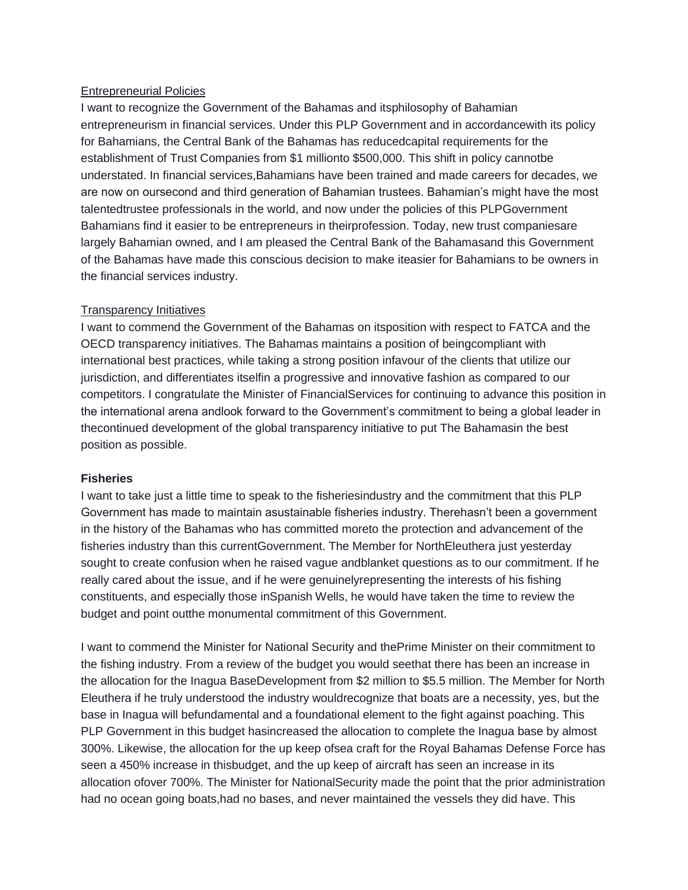#### Entrepreneurial Policies

I want to recognize the Government of the Bahamas and itsphilosophy of Bahamian entrepreneurism in financial services. Under this PLP Government and in accordancewith its policy for Bahamians, the Central Bank of the Bahamas has reducedcapital requirements for the establishment of Trust Companies from \$1 millionto \$500,000. This shift in policy cannotbe understated. In financial services,Bahamians have been trained and made careers for decades, we are now on oursecond and third generation of Bahamian trustees. Bahamian's might have the most talentedtrustee professionals in the world, and now under the policies of this PLPGovernment Bahamians find it easier to be entrepreneurs in theirprofession. Today, new trust companiesare largely Bahamian owned, and I am pleased the Central Bank of the Bahamasand this Government of the Bahamas have made this conscious decision to make iteasier for Bahamians to be owners in the financial services industry.

## Transparency Initiatives

I want to commend the Government of the Bahamas on itsposition with respect to FATCA and the OECD transparency initiatives. The Bahamas maintains a position of beingcompliant with international best practices, while taking a strong position infavour of the clients that utilize our jurisdiction, and differentiates itselfin a progressive and innovative fashion as compared to our competitors. I congratulate the Minister of FinancialServices for continuing to advance this position in the international arena andlook forward to the Government's commitment to being a global leader in thecontinued development of the global transparency initiative to put The Bahamasin the best position as possible.

#### **Fisheries**

I want to take just a little time to speak to the fisheriesindustry and the commitment that this PLP Government has made to maintain asustainable fisheries industry. Therehasn't been a government in the history of the Bahamas who has committed moreto the protection and advancement of the fisheries industry than this currentGovernment. The Member for NorthEleuthera just yesterday sought to create confusion when he raised vague andblanket questions as to our commitment. If he really cared about the issue, and if he were genuinelyrepresenting the interests of his fishing constituents, and especially those inSpanish Wells, he would have taken the time to review the budget and point outthe monumental commitment of this Government.

I want to commend the Minister for National Security and thePrime Minister on their commitment to the fishing industry. From a review of the budget you would seethat there has been an increase in the allocation for the Inagua BaseDevelopment from \$2 million to \$5.5 million. The Member for North Eleuthera if he truly understood the industry wouldrecognize that boats are a necessity, yes, but the base in Inagua will befundamental and a foundational element to the fight against poaching. This PLP Government in this budget hasincreased the allocation to complete the Inagua base by almost 300%. Likewise, the allocation for the up keep ofsea craft for the Royal Bahamas Defense Force has seen a 450% increase in thisbudget, and the up keep of aircraft has seen an increase in its allocation ofover 700%. The Minister for NationalSecurity made the point that the prior administration had no ocean going boats,had no bases, and never maintained the vessels they did have. This